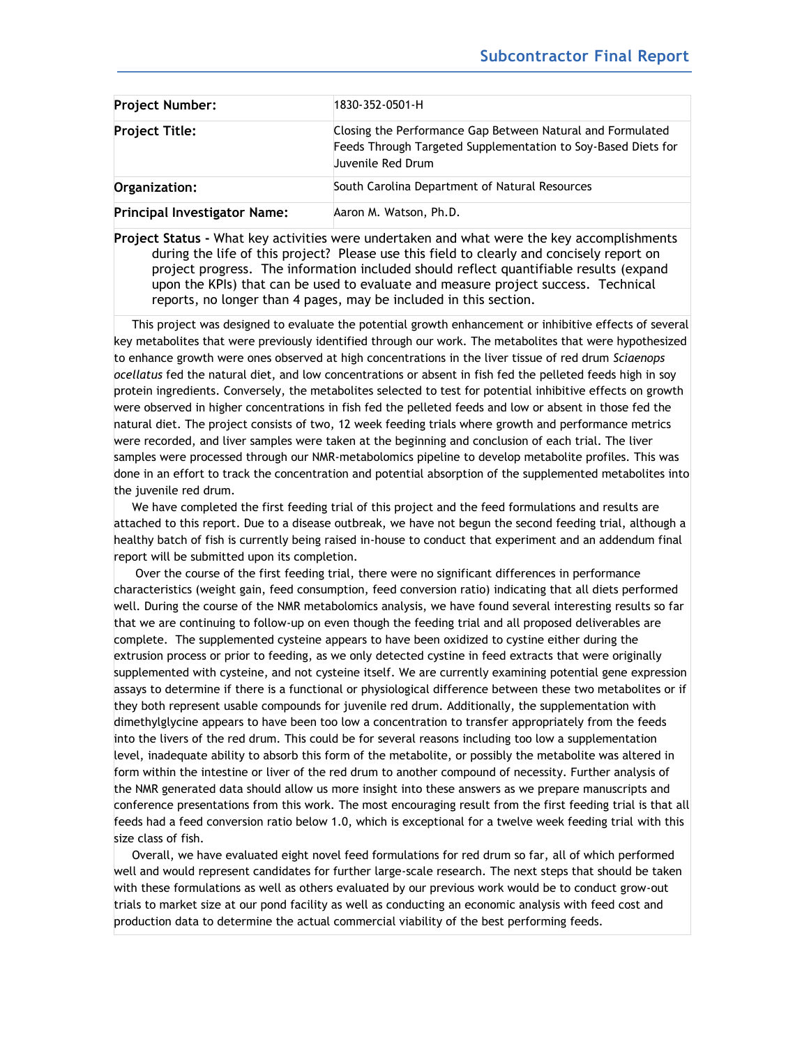| <b>Project Number:</b>              | 1830-352-0501-H                                                                                                                                  |
|-------------------------------------|--------------------------------------------------------------------------------------------------------------------------------------------------|
| <b>Project Title:</b>               | Closing the Performance Gap Between Natural and Formulated<br>Feeds Through Targeted Supplementation to Soy-Based Diets for<br>Juvenile Red Drum |
| Organization:                       | South Carolina Department of Natural Resources                                                                                                   |
| <b>Principal Investigator Name:</b> | Aaron M. Watson, Ph.D.                                                                                                                           |

**Project Status -** What key activities were undertaken and what were the key accomplishments during the life of this project? Please use this field to clearly and concisely report on project progress. The information included should reflect quantifiable results (expand upon the KPIs) that can be used to evaluate and measure project success. Technical reports, no longer than 4 pages, may be included in this section.

 This project was designed to evaluate the potential growth enhancement or inhibitive effects of several key metabolites that were previously identified through our work. The metabolites that were hypothesized to enhance growth were ones observed at high concentrations in the liver tissue of red drum *Sciaenops ocellatus* fed the natural diet, and low concentrations or absent in fish fed the pelleted feeds high in soy protein ingredients. Conversely, the metabolites selected to test for potential inhibitive effects on growth were observed in higher concentrations in fish fed the pelleted feeds and low or absent in those fed the natural diet. The project consists of two, 12 week feeding trials where growth and performance metrics were recorded, and liver samples were taken at the beginning and conclusion of each trial. The liver samples were processed through our NMR-metabolomics pipeline to develop metabolite profiles. This was done in an effort to track the concentration and potential absorption of the supplemented metabolites into the juvenile red drum.

 We have completed the first feeding trial of this project and the feed formulations and results are attached to this report. Due to a disease outbreak, we have not begun the second feeding trial, although a healthy batch of fish is currently being raised in-house to conduct that experiment and an addendum final report will be submitted upon its completion.

 Over the course of the first feeding trial, there were no significant differences in performance characteristics (weight gain, feed consumption, feed conversion ratio) indicating that all diets performed well. During the course of the NMR metabolomics analysis, we have found several interesting results so far that we are continuing to follow-up on even though the feeding trial and all proposed deliverables are complete. The supplemented cysteine appears to have been oxidized to cystine either during the extrusion process or prior to feeding, as we only detected cystine in feed extracts that were originally supplemented with cysteine, and not cysteine itself. We are currently examining potential gene expression assays to determine if there is a functional or physiological difference between these two metabolites or if they both represent usable compounds for juvenile red drum. Additionally, the supplementation with dimethylglycine appears to have been too low a concentration to transfer appropriately from the feeds into the livers of the red drum. This could be for several reasons including too low a supplementation level, inadequate ability to absorb this form of the metabolite, or possibly the metabolite was altered in form within the intestine or liver of the red drum to another compound of necessity. Further analysis of the NMR generated data should allow us more insight into these answers as we prepare manuscripts and conference presentations from this work. The most encouraging result from the first feeding trial is that all feeds had a feed conversion ratio below 1.0, which is exceptional for a twelve week feeding trial with this size class of fish.

 Overall, we have evaluated eight novel feed formulations for red drum so far, all of which performed well and would represent candidates for further large-scale research. The next steps that should be taken with these formulations as well as others evaluated by our previous work would be to conduct grow-out trials to market size at our pond facility as well as conducting an economic analysis with feed cost and production data to determine the actual commercial viability of the best performing feeds.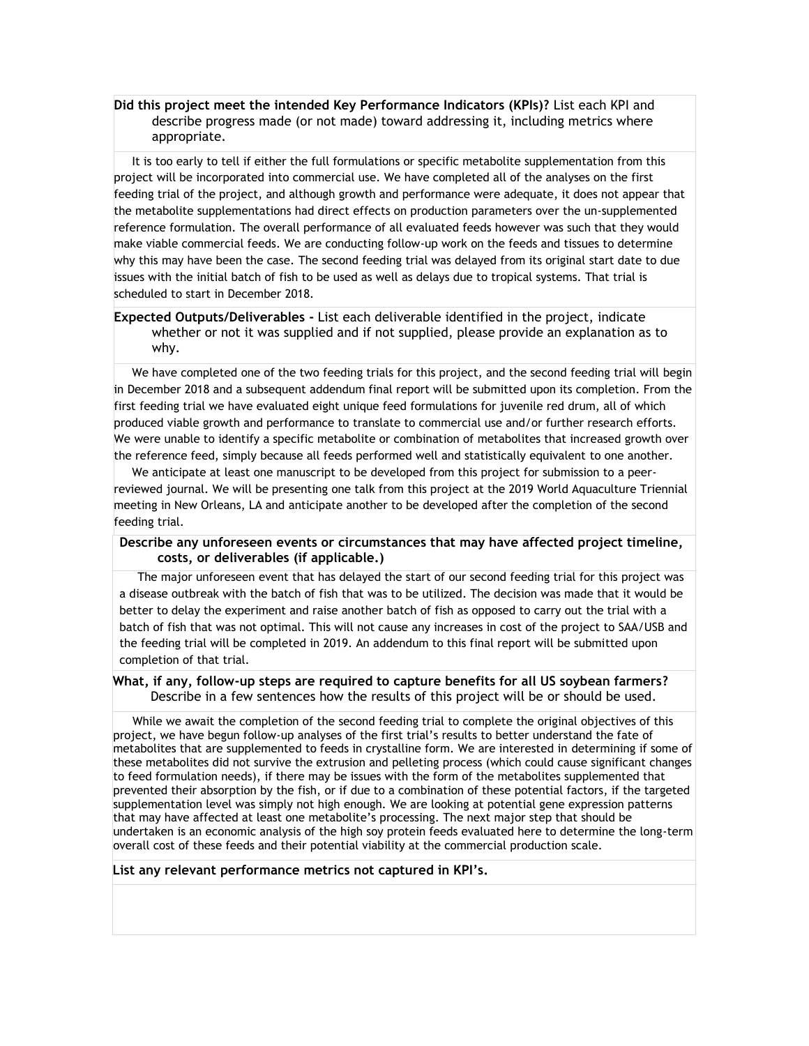# **Did this project meet the intended Key Performance Indicators (KPIs)?** List each KPI and describe progress made (or not made) toward addressing it, including metrics where appropriate.

 It is too early to tell if either the full formulations or specific metabolite supplementation from this project will be incorporated into commercial use. We have completed all of the analyses on the first feeding trial of the project, and although growth and performance were adequate, it does not appear that the metabolite supplementations had direct effects on production parameters over the un-supplemented reference formulation. The overall performance of all evaluated feeds however was such that they would make viable commercial feeds. We are conducting follow-up work on the feeds and tissues to determine why this may have been the case. The second feeding trial was delayed from its original start date to due issues with the initial batch of fish to be used as well as delays due to tropical systems. That trial is scheduled to start in December 2018.

## **Expected Outputs/Deliverables -** List each deliverable identified in the project, indicate whether or not it was supplied and if not supplied, please provide an explanation as to why.

 We have completed one of the two feeding trials for this project, and the second feeding trial will begin in December 2018 and a subsequent addendum final report will be submitted upon its completion. From the first feeding trial we have evaluated eight unique feed formulations for juvenile red drum, all of which produced viable growth and performance to translate to commercial use and/or further research efforts. We were unable to identify a specific metabolite or combination of metabolites that increased growth over the reference feed, simply because all feeds performed well and statistically equivalent to one another.

We anticipate at least one manuscript to be developed from this project for submission to a peerreviewed journal. We will be presenting one talk from this project at the 2019 World Aquaculture Triennial meeting in New Orleans, LA and anticipate another to be developed after the completion of the second feeding trial.

## **Describe any unforeseen events or circumstances that may have affected project timeline, costs, or deliverables (if applicable.)**

 The major unforeseen event that has delayed the start of our second feeding trial for this project was a disease outbreak with the batch of fish that was to be utilized. The decision was made that it would be better to delay the experiment and raise another batch of fish as opposed to carry out the trial with a batch of fish that was not optimal. This will not cause any increases in cost of the project to SAA/USB and the feeding trial will be completed in 2019. An addendum to this final report will be submitted upon completion of that trial.

### **What, if any, follow-up steps are required to capture benefits for all US soybean farmers?** Describe in a few sentences how the results of this project will be or should be used.

 While we await the completion of the second feeding trial to complete the original objectives of this project, we have begun follow-up analyses of the first trial's results to better understand the fate of metabolites that are supplemented to feeds in crystalline form. We are interested in determining if some of these metabolites did not survive the extrusion and pelleting process (which could cause significant changes to feed formulation needs), if there may be issues with the form of the metabolites supplemented that prevented their absorption by the fish, or if due to a combination of these potential factors, if the targeted supplementation level was simply not high enough. We are looking at potential gene expression patterns that may have affected at least one metabolite's processing. The next major step that should be undertaken is an economic analysis of the high soy protein feeds evaluated here to determine the long-term overall cost of these feeds and their potential viability at the commercial production scale.

### **List any relevant performance metrics not captured in KPI's.**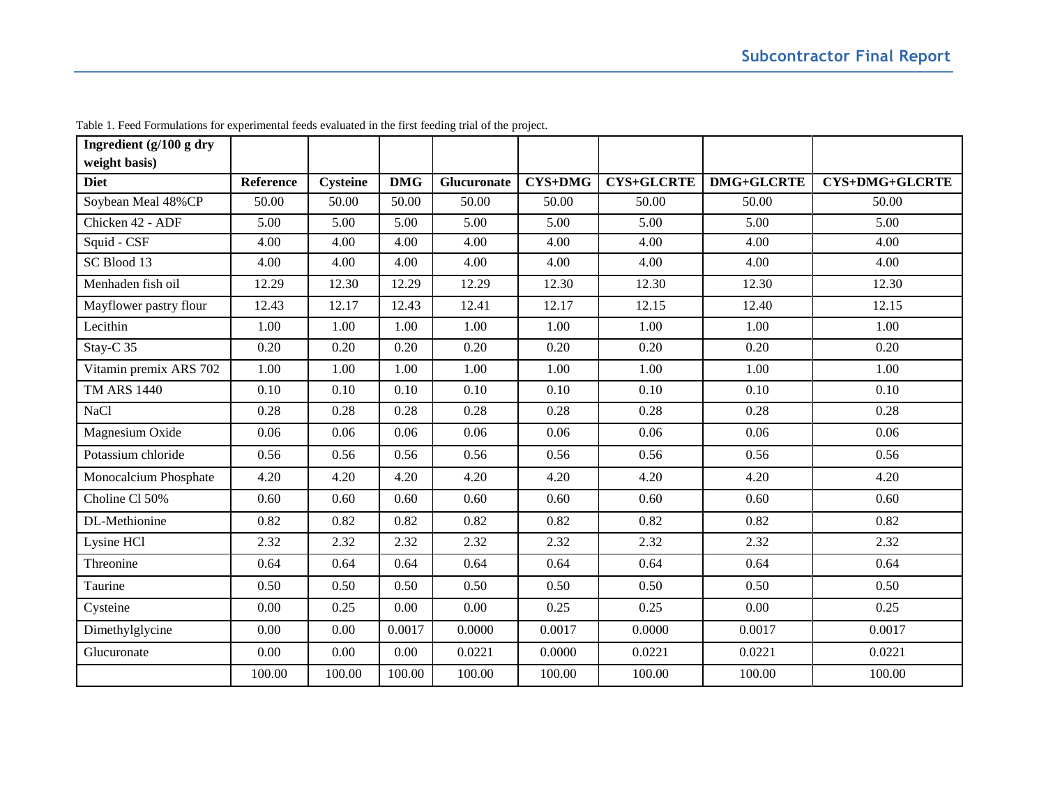| Ingredient (g/100 g dry      |           |                 |            |                    |                |                   |                   |                       |
|------------------------------|-----------|-----------------|------------|--------------------|----------------|-------------------|-------------------|-----------------------|
| weight basis)<br><b>Diet</b> | Reference | <b>Cysteine</b> | <b>DMG</b> | <b>Glucuronate</b> | <b>CYS+DMG</b> | <b>CYS+GLCRTE</b> | <b>DMG+GLCRTE</b> | <b>CYS+DMG+GLCRTE</b> |
| Soybean Meal 48%CP           | 50.00     | 50.00           | 50.00      | 50.00              | 50.00          | 50.00             | 50.00             | 50.00                 |
|                              |           |                 |            |                    |                |                   |                   |                       |
| Chicken 42 - ADF             | 5.00      | 5.00            | 5.00       | 5.00               | 5.00           | 5.00              | 5.00              | 5.00                  |
| Squid - CSF                  | 4.00      | 4.00            | 4.00       | 4.00               | 4.00           | 4.00              | 4.00              | 4.00                  |
| SC Blood 13                  | 4.00      | 4.00            | 4.00       | 4.00               | 4.00           | 4.00              | 4.00              | 4.00                  |
| Menhaden fish oil            | 12.29     | 12.30           | 12.29      | 12.29              | 12.30          | 12.30             | 12.30             | 12.30                 |
| Mayflower pastry flour       | 12.43     | 12.17           | 12.43      | 12.41              | 12.17          | 12.15             | 12.40             | 12.15                 |
| Lecithin                     | 1.00      | 1.00            | 1.00       | 1.00               | 1.00           | 1.00              | 1.00              | 1.00                  |
| Stay-C <sub>35</sub>         | 0.20      | 0.20            | 0.20       | 0.20               | 0.20           | 0.20              | 0.20              | 0.20                  |
| Vitamin premix ARS 702       | 1.00      | 1.00            | 1.00       | 1.00               | 1.00           | 1.00              | 1.00              | 1.00                  |
| <b>TM ARS 1440</b>           | 0.10      | 0.10            | 0.10       | 0.10               | 0.10           | 0.10              | 0.10              | 0.10                  |
| NaCl                         | 0.28      | 0.28            | 0.28       | 0.28               | 0.28           | 0.28              | 0.28              | 0.28                  |
| Magnesium Oxide              | 0.06      | 0.06            | 0.06       | 0.06               | 0.06           | 0.06              | 0.06              | 0.06                  |
| Potassium chloride           | 0.56      | 0.56            | 0.56       | 0.56               | 0.56           | 0.56              | 0.56              | 0.56                  |
| Monocalcium Phosphate        | 4.20      | 4.20            | 4.20       | 4.20               | 4.20           | 4.20              | 4.20              | 4.20                  |
| Choline Cl 50%               | 0.60      | 0.60            | 0.60       | 0.60               | 0.60           | 0.60              | 0.60              | 0.60                  |
| DL-Methionine                | 0.82      | 0.82            | 0.82       | 0.82               | 0.82           | 0.82              | 0.82              | 0.82                  |
| Lysine HCl                   | 2.32      | 2.32            | 2.32       | 2.32               | 2.32           | 2.32              | 2.32              | 2.32                  |
| Threonine                    | 0.64      | 0.64            | 0.64       | 0.64               | 0.64           | 0.64              | 0.64              | 0.64                  |
| Taurine                      | 0.50      | 0.50            | 0.50       | 0.50               | 0.50           | 0.50              | 0.50              | 0.50                  |
| Cysteine                     | 0.00      | 0.25            | 0.00       | 0.00               | 0.25           | 0.25              | 0.00              | 0.25                  |
| Dimethylglycine              | 0.00      | 0.00            | 0.0017     | 0.0000             | 0.0017         | 0.0000            | 0.0017            | 0.0017                |
| Glucuronate                  | 0.00      | 0.00            | 0.00       | 0.0221             | 0.0000         | 0.0221            | 0.0221            | 0.0221                |
|                              | 100.00    | 100.00          | 100.00     | 100.00             | 100.00         | 100.00            | 100.00            | 100.00                |

Table 1. Feed Formulations for experimental feeds evaluated in the first feeding trial of the project.